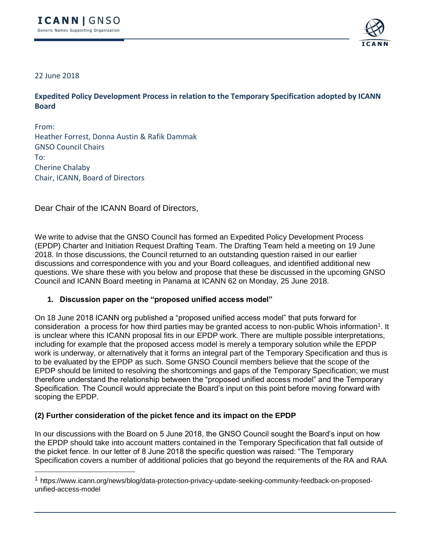

## 22 June 2018

**Expedited Policy Development Process in relation to the Temporary Specification adopted by ICANN Board**

From: Heather Forrest, Donna Austin & Rafik Dammak GNSO Council Chairs To: Cherine Chalaby Chair, ICANN, Board of Directors

Dear Chair of the ICANN Board of Directors,

We write to advise that the GNSO Council has formed an Expedited Policy Development Process (EPDP) Charter and Initiation Request Drafting Team. The Drafting Team held a meeting on 19 June 2018. In those discussions, the Council returned to an outstanding question raised in our earlier discussions and correspondence with you and your Board colleagues, and identified additional new questions. We share these with you below and propose that these be discussed in the upcoming GNSO Council and ICANN Board meeting in Panama at ICANN 62 on Monday, 25 June 2018.

## **1. Discussion paper on the "proposed unified access model"**

On 18 June 2018 ICANN org published a "proposed unified access model" that puts forward for consideration a process for how third parties may be granted access to non-public Whois information<sup>1</sup>. It is unclear where this ICANN proposal fits in our EPDP work. There are multiple possible interpretations, including for example that the proposed access model is merely a temporary solution while the EPDP work is underway, or alternatively that it forms an integral part of the Temporary Specification and thus is to be evaluated by the EPDP as such. Some GNSO Council members believe that the scope of the EPDP should be limited to resolving the shortcomings and gaps of the Temporary Specification; we must therefore understand the relationship between the "proposed unified access model" and the Temporary Specification. The Council would appreciate the Board's input on this point before moving forward with scoping the EPDP.

## **(2) Further consideration of the picket fence and its impact on the EPDP**

In our discussions with the Board on 5 June 2018, the GNSO Council sought the Board's input on how the EPDP should take into account matters contained in the Temporary Specification that fall outside of the picket fence. In our letter of 8 June 2018 the specific question was raised: "The Temporary Specification covers a number of additional policies that go beyond the requirements of the RA and RAA

<sup>1</sup> https://www.icann.org/news/blog/data-protection-privacy-update-seeking-community-feedback-on-proposedunified-access-model